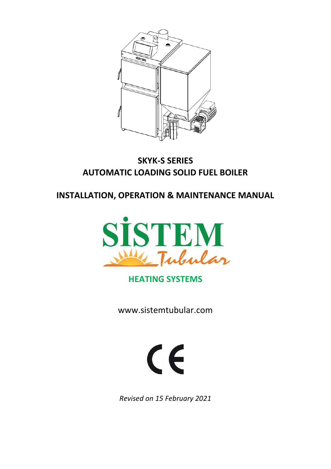

# **SKYK-S SERIES AUTOMATIC LOADING SOLID FUEL BOILER**

**INSTALLATION, OPERATION & MAINTENANCE MANUAL**



# **HEATING SYSTEMS**

[www.sistemtubular.com](http://www.sistemtubular.com/)



*Revised on 15 February 2021*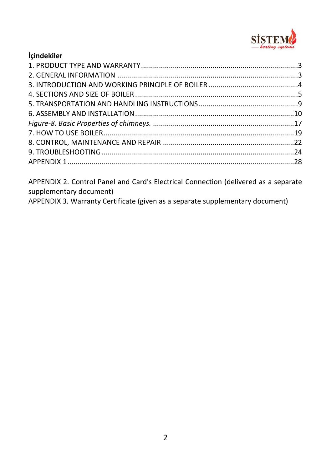

| <b>Icindekiler</b> |  |
|--------------------|--|
|                    |  |
|                    |  |
|                    |  |
|                    |  |
|                    |  |
|                    |  |
|                    |  |
|                    |  |
|                    |  |
|                    |  |
|                    |  |
|                    |  |

APPENDIX 2. Control Panel and Card's Electrical Connection (delivered as a separate supplementary document)

APPENDIX 3. Warranty Certificate (given as a separate supplementary document)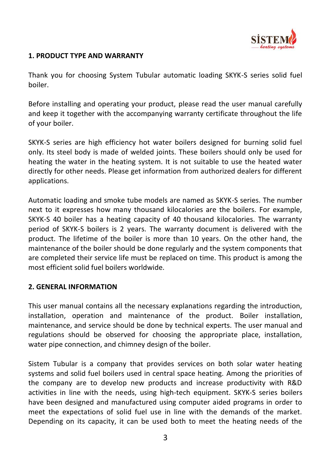

## <span id="page-2-0"></span>**1. PRODUCT TYPE AND WARRANTY**

Thank you for choosing System Tubular automatic loading SKYK-S series solid fuel boiler.

Before installing and operating your product, please read the user manual carefully and keep it together with the accompanying warranty certificate throughout the life of your boiler.

SKYK-S series are high efficiency hot water boilers designed for burning solid fuel only. Its steel body is made of welded joints. These boilers should only be used for heating the water in the heating system. It is not suitable to use the heated water directly for other needs. Please get information from authorized dealers for different applications.

Automatic loading and smoke tube models are named as SKYK-S series. The number next to it expresses how many thousand kilocalories are the boilers. For example, SKYK-S 40 boiler has a heating capacity of 40 thousand kilocalories. The warranty period of SKYK-S boilers is 2 years. The warranty document is delivered with the product. The lifetime of the boiler is more than 10 years. On the other hand, the maintenance of the boiler should be done regularly and the system components that are completed their service life must be replaced on time. This product is among the most efficient solid fuel boilers worldwide.

### <span id="page-2-1"></span>**2. GENERAL INFORMATION**

This user manual contains all the necessary explanations regarding the introduction, installation, operation and maintenance of the product. Boiler installation, maintenance, and service should be done by technical experts. The user manual and regulations should be observed for choosing the appropriate place, installation, water pipe connection, and chimney design of the boiler.

Sistem Tubular is a company that provides services on both solar water heating systems and solid fuel boilers used in central space heating. Among the priorities of the company are to develop new products and increase productivity with R&D activities in line with the needs, using high-tech equipment. SKYK-S series boilers have been designed and manufactured using computer aided programs in order to meet the expectations of solid fuel use in line with the demands of the market. Depending on its capacity, it can be used both to meet the heating needs of the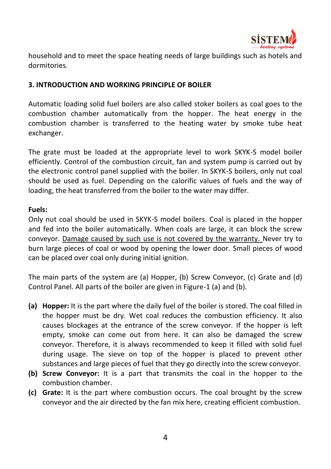

household and to meet the space heating needs of large buildings such as hotels and dormitories.

## <span id="page-3-0"></span>**3. INTRODUCTION AND WORKING PRINCIPLE OF BOILER**

Automatic loading solid fuel boilers are also called stoker boilers as coal goes to the combustion chamber automatically from the hopper. The heat energy in the combustion chamber is transferred to the heating water by smoke tube heat exchanger.

The grate must be loaded at the appropriate level to work SKYK-S model boiler efficiently. Control of the combustion circuit, fan and system pump is carried out by the electronic control panel supplied with the boiler. In SKYK-S boilers, only nut coal should be used as fuel. Depending on the calorific values of fuels and the way of loading, the heat transferred from the boiler to the water may differ.

### **Fuels:**

Only nut coal should be used in SKYK-S model boilers. Coal is placed in the hopper and fed into the boiler automatically. When coals are large, it can block the screw conveyor. Damage caused by such use is not covered by the warranty. Never try to burn large pieces of coal or wood by opening the lower door. Small pieces of wood can be placed over coal only during initial ignition.

The main parts of the system are (a) Hopper, (b) Screw Conveyor, (c) Grate and (d) Control Panel. All parts of the boiler are given in Figure-1 (a) and (b).

- **(a) Hopper:** It is the part where the daily fuel of the boiler is stored. The coal filled in the hopper must be dry. Wet coal reduces the combustion efficiency. It also causes blockages at the entrance of the screw conveyor. If the hopper is left empty, smoke can come out from here. It can also be damaged the screw conveyor. Therefore, it is always recommended to keep it filled with solid fuel during usage. The sieve on top of the hopper is placed to prevent other substances and large pieces of fuel that they go directly into the screw conveyor.
- **(b) Screw Conveyor:** It is a part that transmits the coal in the hopper to the combustion chamber.
- **(c) Grate:** It is the part where combustion occurs. The coal brought by the screw conveyor and the air directed by the fan mix here, creating efficient combustion.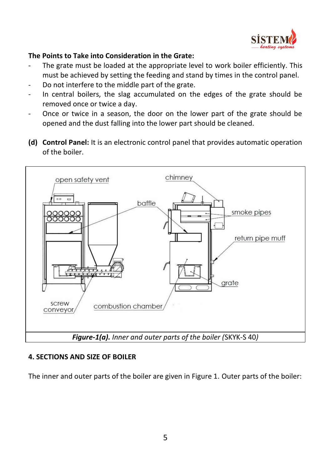

## **The Points to Take into Consideration in the Grate:**

- The grate must be loaded at the appropriate level to work boiler efficiently. This must be achieved by setting the feeding and stand by times in the control panel.
- Do not interfere to the middle part of the grate.
- In central boilers, the slag accumulated on the edges of the grate should be removed once or twice a day.
- Once or twice in a season, the door on the lower part of the grate should be opened and the dust falling into the lower part should be cleaned.
- **(d) Control Panel:** It is an electronic control panel that provides automatic operation of the boiler.



# <span id="page-4-0"></span>**4. SECTIONS AND SIZE OF BOILER**

The inner and outer parts of the boiler are given in Figure 1. Outer parts of the boiler: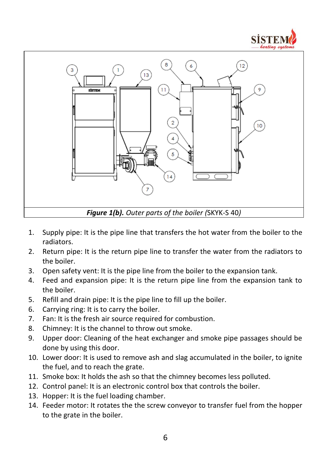



- 1. Supply pipe: It is the pipe line that transfers the hot water from the boiler to the radiators.
- 2. Return pipe: It is the return pipe line to transfer the water from the radiators to the boiler.
- 3. Open safety vent: It is the pipe line from the boiler to the expansion tank.
- 4. Feed and expansion pipe: It is the return pipe line from the expansion tank to the boiler.
- 5. Refill and drain pipe: It is the pipe line to fill up the boiler.
- 6. Carrying ring: It is to carry the boiler.
- 7. Fan: It is the fresh air source required for combustion.
- 8. Chimney: It is the channel to throw out smoke.
- 9. Upper door: Cleaning of the heat exchanger and smoke pipe passages should be done by using this door.
- 10. Lower door: It is used to remove ash and slag accumulated in the boiler, to ignite the fuel, and to reach the grate.
- 11. Smoke box: It holds the ash so that the chimney becomes less polluted.
- 12. Control panel: It is an electronic control box that controls the boiler.
- 13. Hopper: It is the fuel loading chamber.
- 14. Feeder motor: It rotates the the screw conveyor to transfer fuel from the hopper to the grate in the boiler.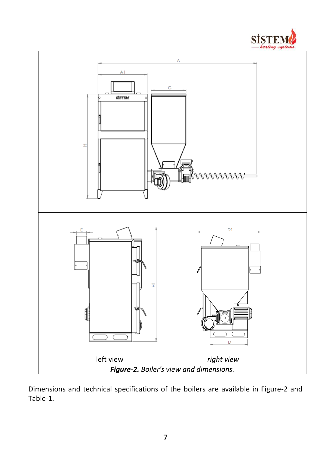



Dimensions and technical specifications of the boilers are available in Figure-2 and Table-1.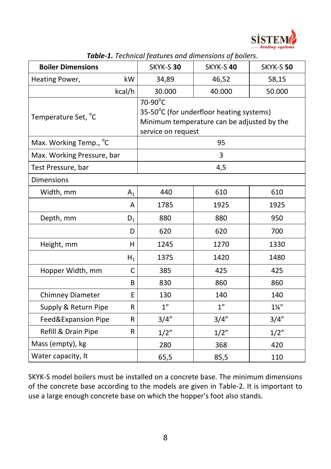

| <b>Boiler Dimensions</b>   |       | <b>rable-1.</b> Technical Jeatures and alliterisions of boliers.<br>SKYK-S 30 | SKYK-S 40                                                                              | SKYK-S 50        |
|----------------------------|-------|-------------------------------------------------------------------------------|----------------------------------------------------------------------------------------|------------------|
| Heating Power,             | kW    | 34,89                                                                         | 46,52                                                                                  | 58,15            |
| kcal/h                     |       | 30.000                                                                        | 40.000                                                                                 | 50.000           |
| Temperature Set, °C        |       | $70-90^\circ C$<br>service on request                                         | 35-50°C (for underfloor heating systems)<br>Minimum temperature can be adjusted by the |                  |
| Max. Working Temp., °C     |       |                                                                               | 95                                                                                     |                  |
| Max. Working Pressure, bar |       |                                                                               | 3                                                                                      |                  |
| Test Pressure, bar         |       |                                                                               | 4,5                                                                                    |                  |
| Dimensions                 |       |                                                                               |                                                                                        |                  |
| Width, mm                  | $A_1$ | 440                                                                           | 610                                                                                    | 610              |
|                            | A     | 1785                                                                          | 1925                                                                                   | 1925             |
| Depth, mm                  | $D_1$ | 880                                                                           | 880                                                                                    | 950              |
|                            | D     | 620                                                                           | 620                                                                                    | 700              |
| Height, mm                 | H     | 1245                                                                          | 1270                                                                                   | 1330             |
|                            | $H_1$ | 1375                                                                          | 1420                                                                                   | 1480             |
| Hopper Width, mm           | C     | 385                                                                           | 425                                                                                    | 425              |
|                            | B     | 830                                                                           | 860                                                                                    | 860              |
| Chimney Diameter           | E     | 130                                                                           | 140                                                                                    | 140              |
| Supply & Return Pipe       | R     | 1"                                                                            | 1"                                                                                     | $1\frac{1}{4}$ " |
| Feed&Expansion Pipe        | R     | 3/4"                                                                          | 3/4''                                                                                  | 3/4''            |
| Refill & Drain Pipe        | R     | 1/2"                                                                          | 1/2"                                                                                   | 1/2"             |
| Mass (empty), kg           |       | 280                                                                           | 368                                                                                    | 420              |
| Water capacity, It         |       | 65,5                                                                          | 85,5                                                                                   | 110              |

*Table-1. Technical features and dimensions of boilers.*

SKYK-S model boilers must be installed on a concrete base. The minimum dimensions of the concrete base according to the models are given in Table-2. It is important to use a large enough concrete base on which the hopper's foot also stands.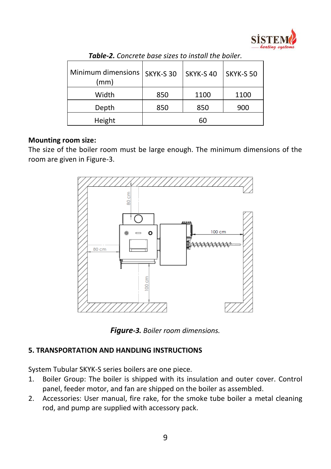

| Minimum dimensions<br>(mm) | SKYK-S 30 | SKYK-S 40 | SKYK-S 50 |
|----------------------------|-----------|-----------|-----------|
| Width                      | 850       | 1100      | 1100      |
| Depth                      | 850       | 850       | 900       |
| Height                     |           | 60        |           |

*Table-2. Concrete base sizes to install the boiler.*

### **Mounting room size:**

The size of the boiler room must be large enough. The minimum dimensions of the room are given in Figure-3.



*Figure-3. Boiler room dimensions.*

### <span id="page-8-0"></span>**5. TRANSPORTATION AND HANDLING INSTRUCTIONS**

System Tubular SKYK-S series boilers are one piece.

- 1. Boiler Group: The boiler is shipped with its insulation and outer cover. Control panel, feeder motor, and fan are shipped on the boiler as assembled.
- 2. Accessories: User manual, fire rake, for the smoke tube boiler a metal cleaning rod, and pump are supplied with accessory pack.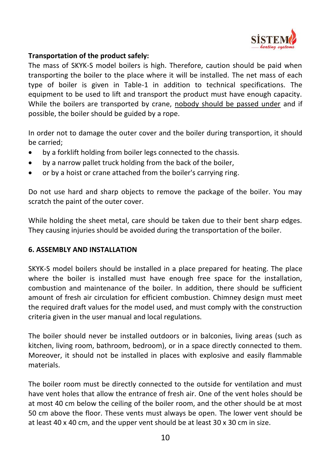

## **Transportation of the product safely:**

The mass of SKYK-S model boilers is high. Therefore, caution should be paid when transporting the boiler to the place where it will be installed. The net mass of each type of boiler is given in Table-1 in addition to technical specifications. The equipment to be used to lift and transport the product must have enough capacity. While the boilers are transported by crane, nobody should be passed under and if possible, the boiler should be guided by a rope.

In order not to damage the outer cover and the boiler during transportion, it should be carried;

- by a forklift holding from boiler legs connected to the chassis.
- by a narrow pallet truck holding from the back of the boiler,
- or by a hoist or crane attached from the boiler's carrying ring.

Do not use hard and sharp objects to remove the package of the boiler. You may scratch the paint of the outer cover.

While holding the sheet metal, care should be taken due to their bent sharp edges. They causing injuries should be avoided during the transportation of the boiler.

### <span id="page-9-0"></span>**6. ASSEMBLY AND INSTALLATION**

SKYK-S model boilers should be installed in a place prepared for heating. The place where the boiler is installed must have enough free space for the installation, combustion and maintenance of the boiler. In addition, there should be sufficient amount of fresh air circulation for efficient combustion. Chimney design must meet the required draft values for the model used, and must comply with the construction criteria given in the user manual and local regulations.

The boiler should never be installed outdoors or in balconies, living areas (such as kitchen, living room, bathroom, bedroom), or in a space directly connected to them. Moreover, it should not be installed in places with explosive and easily flammable materials.

The boiler room must be directly connected to the outside for ventilation and must have vent holes that allow the entrance of fresh air. One of the vent holes should be at most 40 cm below the ceiling of the boiler room, and the other should be at most 50 cm above the floor. These vents must always be open. The lower vent should be at least 40 x 40 cm, and the upper vent should be at least  $30 \times 30$  cm in size.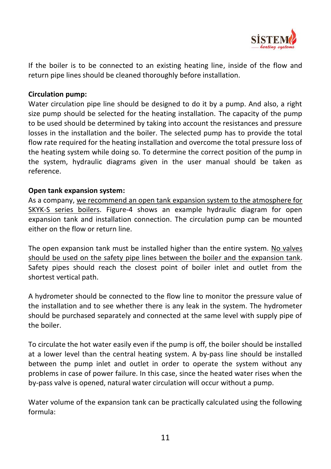

If the boiler is to be connected to an existing heating line, inside of the flow and return pipe lines should be cleaned thoroughly before installation.

### **Circulation pump:**

Water circulation pipe line should be designed to do it by a pump. And also, a right size pump should be selected for the heating installation. The capacity of the pump to be used should be determined by taking into account the resistances and pressure losses in the installation and the boiler. The selected pump has to provide the total flow rate required for the heating installation and overcome the total pressure loss of the heating system while doing so. To determine the correct position of the pump in the system, hydraulic diagrams given in the user manual should be taken as reference.

### **Open tank expansion system:**

As a company, we recommend an open tank expansion system to the atmosphere for SKYK-S series boilers. Figure-4 shows an example hydraulic diagram for open expansion tank and installation connection. The circulation pump can be mounted either on the flow or return line.

The open expansion tank must be installed higher than the entire system. No valves should be used on the safety pipe lines between the boiler and the expansion tank. Safety pipes should reach the closest point of boiler inlet and outlet from the shortest vertical path.

A hydrometer should be connected to the flow line to monitor the pressure value of the installation and to see whether there is any leak in the system. The hydrometer should be purchased separately and connected at the same level with supply pipe of the boiler.

To circulate the hot water easily even if the pump is off, the boiler should be installed at a lower level than the central heating system. A by-pass line should be installed between the pump inlet and outlet in order to operate the system without any problems in case of power failure. In this case, since the heated water rises when the by-pass valve is opened, natural water circulation will occur without a pump.

Water volume of the expansion tank can be practically calculated using the following formula: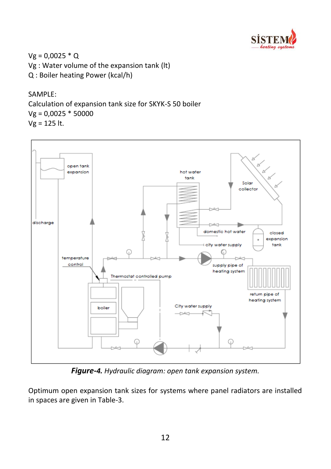

 $Vg = 0,0025 * Q$ Vg : Water volume of the expansion tank (lt) Q : Boiler heating Power (kcal/h)

### SAMPLE:

Calculation of expansion tank size for SKYK-S 50 boiler  $Vg = 0,0025 * 50000$ Vg = 125 lt.



*Figure-4. Hydraulic diagram: open tank expansion system.*

Optimum open expansion tank sizes for systems where panel radiators are installed in spaces are given in Table-3.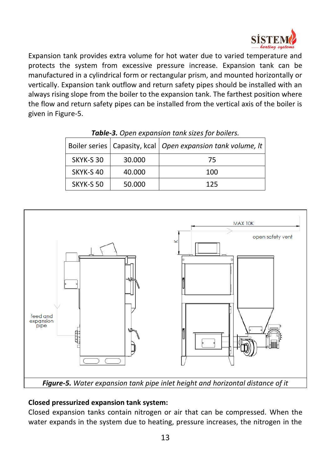

Expansion tank provides extra volume for hot water due to varied temperature and protects the system from excessive pressure increase. Expansion tank can be manufactured in a cylindrical form or rectangular prism, and mounted horizontally or vertically. Expansion tank outflow and return safety pipes should be installed with an always rising slope from the boiler to the expansion tank. The farthest position where the flow and return safety pipes can be installed from the vertical axis of the boiler is given in Figure-5.

|           |        | Boiler series   Capasity, kcal   Open expansion tank volume, It |
|-----------|--------|-----------------------------------------------------------------|
| SKYK-S 30 | 30.000 | 75                                                              |
| SKYK-S40  | 40.000 | 100                                                             |
| SKYK-S 50 | 50.000 | 125                                                             |

*Table-3. Open expansion tank sizes for boilers.*



### **Closed pressurized expansion tank system:**

Closed expansion tanks contain nitrogen or air that can be compressed. When the water expands in the system due to heating, pressure increases, the nitrogen in the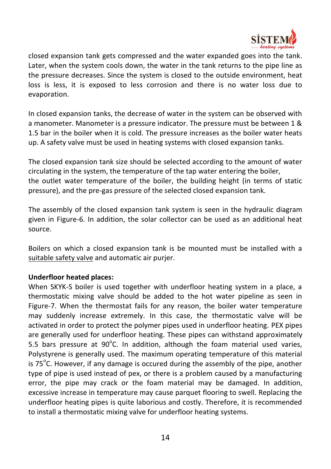

closed expansion tank gets compressed and the water expanded goes into the tank. Later, when the system cools down, the water in the tank returns to the pipe line as the pressure decreases. Since the system is closed to the outside environment, heat loss is less, it is exposed to less corrosion and there is no water loss due to evaporation.

In closed expansion tanks, the decrease of water in the system can be observed with a manometer. Manometer is a pressure indicator. The pressure must be between 1 & 1.5 bar in the boiler when it is cold. The pressure increases as the boiler water heats up. A safety valve must be used in heating systems with closed expansion tanks.

The closed expansion tank size should be selected according to the amount of water circulating in the system, the temperature of the tap water entering the boiler, the outlet water temperature of the boiler, the building height (in terms of static pressure), and the pre-gas pressure of the selected closed expansion tank.

The assembly of the closed expansion tank system is seen in the hydraulic diagram given in Figure-6. In addition, the solar collector can be used as an additional heat source.

Boilers on which a closed expansion tank is be mounted must be installed with a suitable safety valve and automatic air purjer.

### **Underfloor heated places:**

When SKYK-S boiler is used together with underfloor heating system in a place, a thermostatic mixing valve should be added to the hot water pipeline as seen in Figure-7. When the thermostat fails for any reason, the boiler water temperature may suddenly increase extremely. In this case, the thermostatic valve will be activated in order to protect the polymer pipes used in underfloor heating. PEX pipes are generally used for underfloor heating. These pipes can withstand approximately 5.5 bars pressure at  $90^{\circ}$ C. In addition, although the foam material used varies, Polystyrene is generally used. The maximum operating temperature of this material is 75 $\mathrm{^oC}$ . However, if any damage is occured during the assembly of the pipe, another type of pipe is used instead of pex, or there is a problem caused by a manufacturing error, the pipe may crack or the foam material may be damaged. In addition, excessive increase in temperature may cause parquet flooring to swell. Replacing the underfloor heating pipes is quite laborious and costly. Therefore, it is recommended to install a thermostatic mixing valve for underfloor heating systems.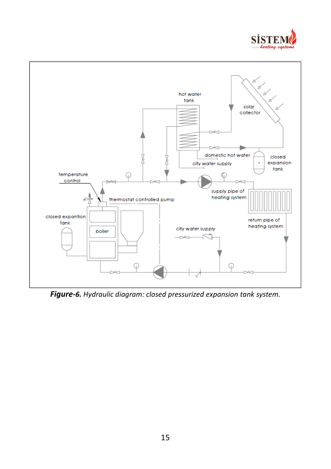



*Figure-6. Hydraulic diagram: closed pressurized expansion tank system.*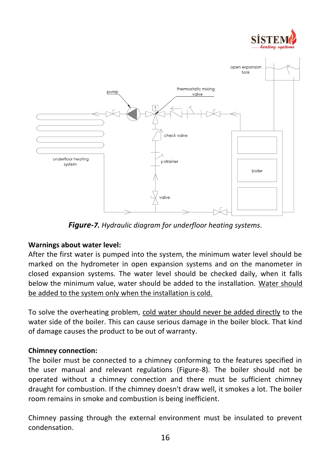



*Figure-7. Hydraulic diagram for underfloor heating systems.*

### **Warnings about water level:**

After the first water is pumped into the system, the minimum water level should be marked on the hydrometer in open expansion systems and on the manometer in closed expansion systems. The water level should be checked daily, when it falls below the minimum value, water should be added to the installation. Water should be added to the system only when the installation is cold.

To solve the overheating problem, cold water should never be added directly to the water side of the boiler. This can cause serious damage in the boiler block. That kind of damage causes the product to be out of warranty.

#### **Chimney connection:**

The boiler must be connected to a chimney conforming to the features specified in the user manual and relevant regulations (Figure-8). The boiler should not be operated without a chimney connection and there must be sufficient chimney draught for combustion. If the chimney doesn't draw well, it smokes a lot. The boiler room remains in smoke and combustion is being inefficient.

Chimney passing through the external environment must be insulated to prevent condensation.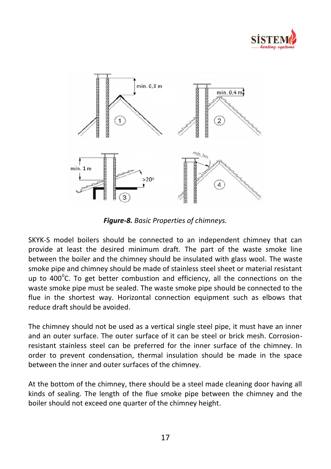



*Figure-8. Basic Properties of chimneys.*

<span id="page-16-0"></span>SKYK-S model boilers should be connected to an independent chimney that can provide at least the desired minimum draft. The part of the waste smoke line between the boiler and the chimney should be insulated with glass wool. The waste smoke pipe and chimney should be made of stainless steel sheet or material resistant up to  $400^{\circ}$ C. To get better combustion and efficiency, all the connections on the waste smoke pipe must be sealed. The waste smoke pipe should be connected to the flue in the shortest way. Horizontal connection equipment such as elbows that reduce draft should be avoided.

The chimney should not be used as a vertical single steel pipe, it must have an inner and an outer surface. The outer surface of it can be steel or brick mesh. Corrosionresistant stainless steel can be preferred for the inner surface of the chimney. In order to prevent condensation, thermal insulation should be made in the space between the inner and outer surfaces of the chimney.

At the bottom of the chimney, there should be a steel made cleaning door having all kinds of sealing. The length of the flue smoke pipe between the chimney and the boiler should not exceed one quarter of the chimney height.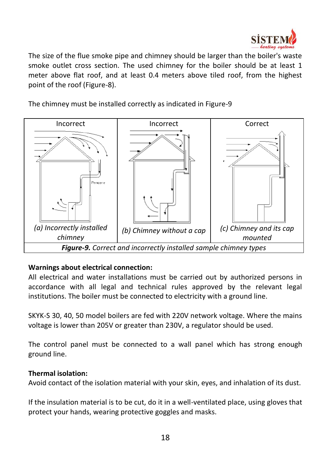

The size of the flue smoke pipe and chimney should be larger than the boiler's waste smoke outlet cross section. The used chimney for the boiler should be at least 1 meter above flat roof, and at least 0.4 meters above tiled roof, from the highest point of the roof (Figure-8).

The chimney must be installed correctly as indicated in Figure-9



# **Warnings about electrical connection:**

All electrical and water installations must be carried out by authorized persons in accordance with all legal and technical rules approved by the relevant legal institutions. The boiler must be connected to electricity with a ground line.

SKYK-S 30, 40, 50 model boilers are fed with 220V network voltage. Where the mains voltage is lower than 205V or greater than 230V, a regulator should be used.

The control panel must be connected to a wall panel which has strong enough ground line.

### **Thermal isolation:**

Avoid contact of the isolation material with your skin, eyes, and inhalation of its dust.

If the insulation material is to be cut, do it in a well-ventilated place, using gloves that protect your hands, wearing protective goggles and masks.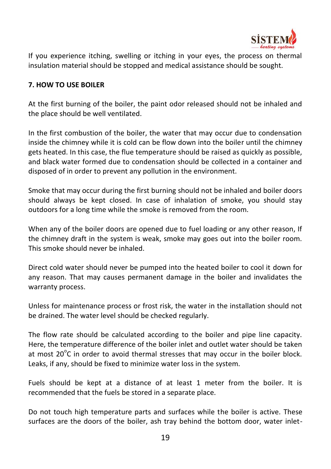

If you experience itching, swelling or itching in your eyes, the process on thermal insulation material should be stopped and medical assistance should be sought.

### <span id="page-18-0"></span>**7. HOW TO USE BOILER**

At the first burning of the boiler, the paint odor released should not be inhaled and the place should be well ventilated.

In the first combustion of the boiler, the water that may occur due to condensation inside the chimney while it is cold can be flow down into the boiler until the chimney gets heated. In this case, the flue temperature should be raised as quickly as possible, and black water formed due to condensation should be collected in a container and disposed of in order to prevent any pollution in the environment.

Smoke that may occur during the first burning should not be inhaled and boiler doors should always be kept closed. In case of inhalation of smoke, you should stay outdoors for a long time while the smoke is removed from the room.

When any of the boiler doors are opened due to fuel loading or any other reason, If the chimney draft in the system is weak, smoke may goes out into the boiler room. This smoke should never be inhaled.

Direct cold water should never be pumped into the heated boiler to cool it down for any reason. That may causes permanent damage in the boiler and invalidates the warranty process.

Unless for maintenance process or frost risk, the water in the installation should not be drained. The water level should be checked regularly.

The flow rate should be calculated according to the boiler and pipe line capacity. Here, the temperature difference of the boiler inlet and outlet water should be taken at most  $20^{\circ}$ C in order to avoid thermal stresses that may occur in the boiler block. Leaks, if any, should be fixed to minimize water loss in the system.

Fuels should be kept at a distance of at least 1 meter from the boiler. It is recommended that the fuels be stored in a separate place.

Do not touch high temperature parts and surfaces while the boiler is active. These surfaces are the doors of the boiler, ash tray behind the bottom door, water inlet-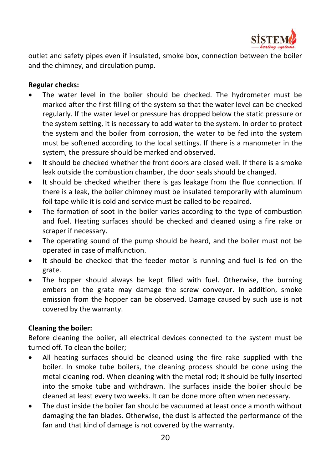

outlet and safety pipes even if insulated, smoke box, connection between the boiler and the chimney, and circulation pump.

### **Regular checks:**

- The water level in the boiler should be checked. The hydrometer must be marked after the first filling of the system so that the water level can be checked regularly. If the water level or pressure has dropped below the static pressure or the system setting, it is necessary to add water to the system. In order to protect the system and the boiler from corrosion, the water to be fed into the system must be softened according to the local settings. If there is a manometer in the system, the pressure should be marked and observed.
- It should be checked whether the front doors are closed well. If there is a smoke leak outside the combustion chamber, the door seals should be changed.
- It should be checked whether there is gas leakage from the flue connection. If there is a leak, the boiler chimney must be insulated temporarily with aluminum foil tape while it is cold and service must be called to be repaired.
- The formation of soot in the boiler varies according to the type of combustion and fuel. Heating surfaces should be checked and cleaned using a fire rake or scraper if necessary.
- The operating sound of the pump should be heard, and the boiler must not be operated in case of malfunction.
- It should be checked that the feeder motor is running and fuel is fed on the grate.
- The hopper should always be kept filled with fuel. Otherwise, the burning embers on the grate may damage the screw conveyor. In addition, smoke emission from the hopper can be observed. Damage caused by such use is not covered by the warranty.

### **Cleaning the boiler:**

Before cleaning the boiler, all electrical devices connected to the system must be turned off. To clean the boiler;

- All heating surfaces should be cleaned using the fire rake supplied with the boiler. In smoke tube boilers, the cleaning process should be done using the metal cleaning rod. When cleaning with the metal rod; it should be fully inserted into the smoke tube and withdrawn. The surfaces inside the boiler should be cleaned at least every two weeks. It can be done more often when necessary.
- The dust inside the boiler fan should be vacuumed at least once a month without damaging the fan blades. Otherwise, the dust is affected the performance of the fan and that kind of damage is not covered by the warranty.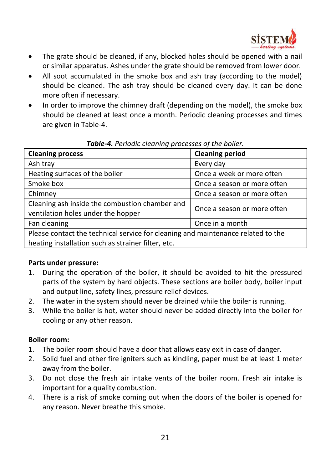

- The grate should be cleaned, if any, blocked holes should be opened with a nail or similar apparatus. Ashes under the grate should be removed from lower door.
- All soot accumulated in the smoke box and ash tray (according to the model) should be cleaned. The ash tray should be cleaned every day. It can be done more often if necessary.
- In order to improve the chimney draft (depending on the model), the smoke box should be cleaned at least once a month. Periodic cleaning processes and times are given in Table-4.

| <b>Cleaning process</b>                                                                                                                | <b>Cleaning period</b>      |  |
|----------------------------------------------------------------------------------------------------------------------------------------|-----------------------------|--|
| Ash tray                                                                                                                               | Every day                   |  |
| Heating surfaces of the boiler                                                                                                         | Once a week or more often   |  |
| Smoke box                                                                                                                              | Once a season or more often |  |
| Chimney                                                                                                                                | Once a season or more often |  |
| Cleaning ash inside the combustion chamber and<br>ventilation holes under the hopper                                                   | Once a season or more often |  |
| Fan cleaning                                                                                                                           | Once in a month             |  |
| Please contact the technical service for cleaning and maintenance related to the<br>heating installation such as strainer filter, etc. |                             |  |

### *Table-4. Periodic cleaning processes of the boiler.*

### **Parts under pressure:**

- 1. During the operation of the boiler, it should be avoided to hit the pressured parts of the system by hard objects. These sections are boiler body, boiler input and output line, safety lines, pressure relief devices.
- 2. The water in the system should never be drained while the boiler is running.
- 3. While the boiler is hot, water should never be added directly into the boiler for cooling or any other reason.

### **Boiler room:**

- 1. The boiler room should have a door that allows easy exit in case of danger.
- 2. Solid fuel and other fire igniters such as kindling, paper must be at least 1 meter away from the boiler.
- 3. Do not close the fresh air intake vents of the boiler room. Fresh air intake is important for a quality combustion.
- 4. There is a risk of smoke coming out when the doors of the boiler is opened for any reason. Never breathe this smoke.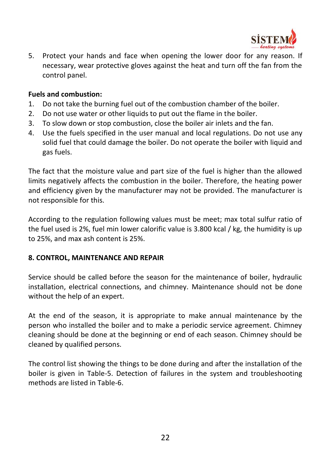

5. Protect your hands and face when opening the lower door for any reason. If necessary, wear protective gloves against the heat and turn off the fan from the control panel.

#### **Fuels and combustion:**

- 1. Do not take the burning fuel out of the combustion chamber of the boiler.
- 2. Do not use water or other liquids to put out the flame in the boiler.
- 3. To slow down or stop combustion, close the boiler air inlets and the fan.
- 4. Use the fuels specified in the user manual and local regulations. Do not use any solid fuel that could damage the boiler. Do not operate the boiler with liquid and gas fuels.

The fact that the moisture value and part size of the fuel is higher than the allowed limits negatively affects the combustion in the boiler. Therefore, the heating power and efficiency given by the manufacturer may not be provided. The manufacturer is not responsible for this.

According to the regulation following values must be meet; max total sulfur ratio of the fuel used is 2%, fuel min lower calorific value is 3.800 kcal / kg, the humidity is up to 25%, and max ash content is 25%.

### <span id="page-21-0"></span>**8. CONTROL, MAINTENANCE AND REPAIR**

Service should be called before the season for the maintenance of boiler, hydraulic installation, electrical connections, and chimney. Maintenance should not be done without the help of an expert.

At the end of the season, it is appropriate to make annual maintenance by the person who installed the boiler and to make a periodic service agreement. Chimney cleaning should be done at the beginning or end of each season. Chimney should be cleaned by qualified persons.

The control list showing the things to be done during and after the installation of the boiler is given in Table-5. Detection of failures in the system and troubleshooting methods are listed in Table-6.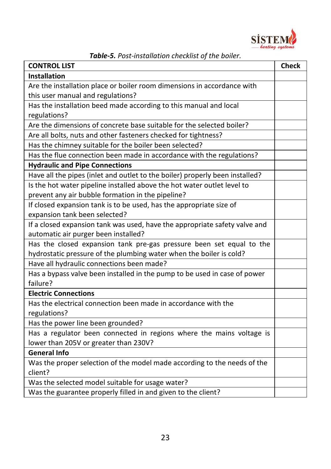

| <b>CONTROL LIST</b>                                                          | <b>Check</b> |
|------------------------------------------------------------------------------|--------------|
| <b>Installation</b>                                                          |              |
| Are the installation place or boiler room dimensions in accordance with      |              |
| this user manual and regulations?                                            |              |
| Has the installation beed made according to this manual and local            |              |
| regulations?                                                                 |              |
| Are the dimensions of concrete base suitable for the selected boiler?        |              |
| Are all bolts, nuts and other fasteners checked for tightness?               |              |
| Has the chimney suitable for the boiler been selected?                       |              |
| Has the flue connection been made in accordance with the regulations?        |              |
| <b>Hydraulic and Pipe Connections</b>                                        |              |
| Have all the pipes (inlet and outlet to the boiler) properly been installed? |              |
| Is the hot water pipeline installed above the hot water outlet level to      |              |
| prevent any air bubble formation in the pipeline?                            |              |
| If closed expansion tank is to be used, has the appropriate size of          |              |
| expansion tank been selected?                                                |              |
| If a closed expansion tank was used, have the appropriate safety valve and   |              |
| automatic air purger been installed?                                         |              |
| Has the closed expansion tank pre-gas pressure been set equal to the         |              |
| hydrostatic pressure of the plumbing water when the boiler is cold?          |              |
| Have all hydraulic connections been made?                                    |              |
| Has a bypass valve been installed in the pump to be used in case of power    |              |
| failure?                                                                     |              |
| <b>Electric Connections</b>                                                  |              |
| Has the electrical connection been made in accordance with the               |              |
| regulations?                                                                 |              |
| Has the power line been grounded?                                            |              |
| Has a regulator been connected in regions where the mains voltage is         |              |
| lower than 205V or greater than 230V?                                        |              |
| <b>General Info</b>                                                          |              |
| Was the proper selection of the model made according to the needs of the     |              |
| client?                                                                      |              |
| Was the selected model suitable for usage water?                             |              |
| Was the guarantee properly filled in and given to the client?                |              |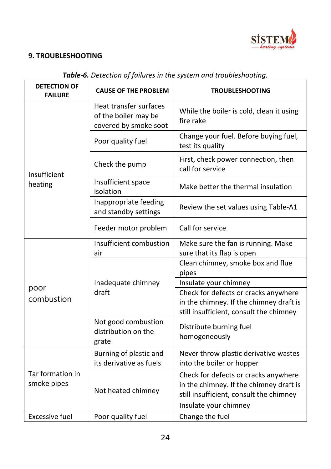

# <span id="page-23-0"></span>**9. TROUBLESHOOTING**

| <b>DETECTION OF</b><br><b>FAILURE</b> | <b>CAUSE OF THE PROBLEM</b>                                             | <b>TROUBLESHOOTING</b>                                                                                                     |
|---------------------------------------|-------------------------------------------------------------------------|----------------------------------------------------------------------------------------------------------------------------|
|                                       | Heat transfer surfaces<br>of the boiler may be<br>covered by smoke soot | While the boiler is cold, clean it using<br>fire rake                                                                      |
|                                       | Poor quality fuel                                                       | Change your fuel. Before buying fuel,<br>test its quality                                                                  |
| Insufficient                          | Check the pump                                                          | First, check power connection, then<br>call for service                                                                    |
| heating                               | Insufficient space<br>isolation                                         | Make better the thermal insulation                                                                                         |
|                                       | Inappropriate feeding<br>and standby settings                           | Review the set values using Table-A1                                                                                       |
|                                       | Feeder motor problem                                                    | Call for service                                                                                                           |
|                                       | Insufficient combustion                                                 | Make sure the fan is running. Make                                                                                         |
|                                       | air                                                                     | sure that its flap is open                                                                                                 |
|                                       |                                                                         | Clean chimney, smoke box and flue                                                                                          |
|                                       |                                                                         | pipes                                                                                                                      |
|                                       | Inadequate chimney<br>draft                                             | Insulate your chimney                                                                                                      |
| poor                                  |                                                                         | Check for defects or cracks anywhere                                                                                       |
| combustion                            |                                                                         | in the chimney. If the chimney draft is                                                                                    |
|                                       |                                                                         | still insufficient, consult the chimney                                                                                    |
|                                       | Not good combustion<br>distribution on the<br>grate                     | Distribute burning fuel<br>homogeneously                                                                                   |
|                                       | Burning of plastic and<br>its derivative as fuels                       | Never throw plastic derivative wastes<br>into the boiler or hopper                                                         |
| Tar formation in<br>smoke pipes       | Not heated chimney                                                      | Check for defects or cracks anywhere<br>in the chimney. If the chimney draft is<br>still insufficient, consult the chimney |
|                                       |                                                                         | Insulate your chimney                                                                                                      |
| <b>Excessive fuel</b>                 | Poor quality fuel                                                       | Change the fuel                                                                                                            |

# *Table-6. Detection of failures in the system and troubleshooting.*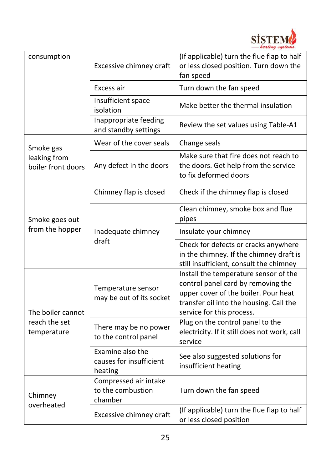

| consumption                        | Excessive chimney draft                                | (If applicable) turn the flue flap to half<br>or less closed position. Turn down the<br>fan speed                                                                                           |
|------------------------------------|--------------------------------------------------------|---------------------------------------------------------------------------------------------------------------------------------------------------------------------------------------------|
|                                    | Excess air                                             | Turn down the fan speed                                                                                                                                                                     |
|                                    | Insufficient space<br>isolation                        | Make better the thermal insulation                                                                                                                                                          |
|                                    | Inappropriate feeding<br>and standby settings          | Review the set values using Table-A1                                                                                                                                                        |
| Smoke gas                          | Wear of the cover seals                                | Change seals                                                                                                                                                                                |
| leaking from<br>boiler front doors | Any defect in the doors                                | Make sure that fire does not reach to<br>the doors. Get help from the service<br>to fix deformed doors                                                                                      |
|                                    | Chimney flap is closed                                 | Check if the chimney flap is closed                                                                                                                                                         |
| Smoke goes out                     |                                                        | Clean chimney, smoke box and flue<br>pipes                                                                                                                                                  |
| from the hopper                    | Inadequate chimney                                     | Insulate your chimney                                                                                                                                                                       |
|                                    | draft                                                  | Check for defects or cracks anywhere<br>in the chimney. If the chimney draft is<br>still insufficient, consult the chimney                                                                  |
| The boiler cannot                  | Temperature sensor<br>may be out of its socket         | Install the temperature sensor of the<br>control panel card by removing the<br>upper cover of the boiler. Pour heat<br>transfer oil into the housing. Call the<br>service for this process. |
| reach the set<br>temperature       | There may be no power<br>to the control panel          | Plug on the control panel to the<br>electricity. If it still does not work, call<br>service                                                                                                 |
|                                    | Examine also the<br>causes for insufficient<br>heating | See also suggested solutions for<br>insufficient heating                                                                                                                                    |
| Chimney<br>overheated              | Compressed air intake<br>to the combustion<br>chamber  | Turn down the fan speed                                                                                                                                                                     |
|                                    | Excessive chimney draft                                | (If applicable) turn the flue flap to half<br>or less closed position                                                                                                                       |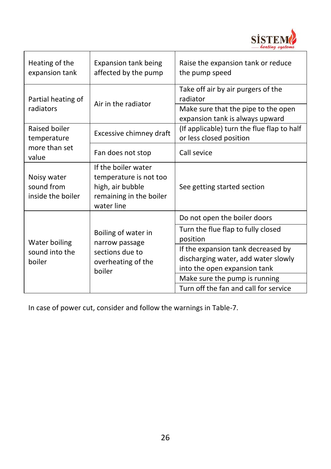

| Heating of the<br>expansion tank               | Expansion tank being<br>affected by the pump                                                               | Raise the expansion tank or reduce<br>the pump speed                                                                     |
|------------------------------------------------|------------------------------------------------------------------------------------------------------------|--------------------------------------------------------------------------------------------------------------------------|
| Partial heating of<br>radiators                | Air in the radiator                                                                                        | Take off air by air purgers of the<br>radiator<br>Make sure that the pipe to the open<br>expansion tank is always upward |
| Raised boiler<br>temperature                   | Excessive chimney draft                                                                                    | (If applicable) turn the flue flap to half<br>or less closed position                                                    |
| more than set<br>value                         | Fan does not stop                                                                                          | Call sevice                                                                                                              |
| Noisy water<br>sound from<br>inside the boiler | If the boiler water<br>temperature is not too<br>high, air bubble<br>remaining in the boiler<br>water line | See getting started section                                                                                              |
|                                                |                                                                                                            | Do not open the boiler doors                                                                                             |
| Water boiling<br>sound into the<br>boiler      | Boiling of water in<br>narrow passage<br>sections due to<br>overheating of the<br>boiler                   | Turn the flue flap to fully closed<br>position                                                                           |
|                                                |                                                                                                            | If the expansion tank decreased by<br>discharging water, add water slowly<br>into the open expansion tank                |
|                                                |                                                                                                            | Make sure the pump is running<br>Turn off the fan and call for service                                                   |

In case of power cut, consider and follow the warnings in Table-7.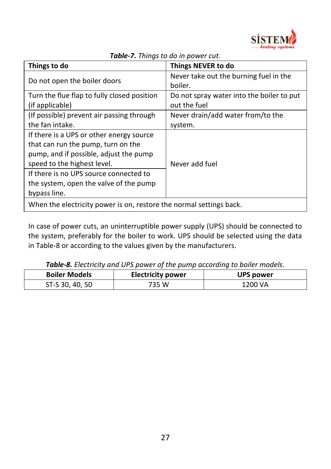

| Things to do                                                        | <b>Things NEVER to do</b>                 |  |
|---------------------------------------------------------------------|-------------------------------------------|--|
|                                                                     | Never take out the burning fuel in the    |  |
| Do not open the boiler doors                                        | boiler.                                   |  |
| Turn the flue flap to fully closed position                         | Do not spray water into the boiler to put |  |
| (if applicable)                                                     | out the fuel                              |  |
| (If possible) prevent air passing through                           | Never drain/add water from/to the         |  |
| the fan intake.                                                     | system.                                   |  |
| If there is a UPS or other energy source                            |                                           |  |
| that can run the pump, turn on the                                  |                                           |  |
| pump, and if possible, adjust the pump                              |                                           |  |
| speed to the highest level.                                         | Never add fuel                            |  |
| If there is no UPS source connected to                              |                                           |  |
| the system, open the valve of the pump                              |                                           |  |
| bypass line.                                                        |                                           |  |
| When the electricity power is on, restore the normal settings back. |                                           |  |

*Table-7. Things to do in power cut.*

In case of power cuts, an uninterruptible power supply (UPS) should be connected to the system, preferably for the boiler to work. UPS should be selected using the data in Table-8 or according to the values given by the manufacturers.

| <b>Table-o.</b> Electricity and OPS power of the painp according to boiler models. |           |         |  |
|------------------------------------------------------------------------------------|-----------|---------|--|
| <b>Boiler Models</b>                                                               | UPS power |         |  |
| ST-S 30, 40, 50                                                                    | 735 W     | 1200 VA |  |

*Table-8. Electricity and UPS power of the pump according to boiler models.*